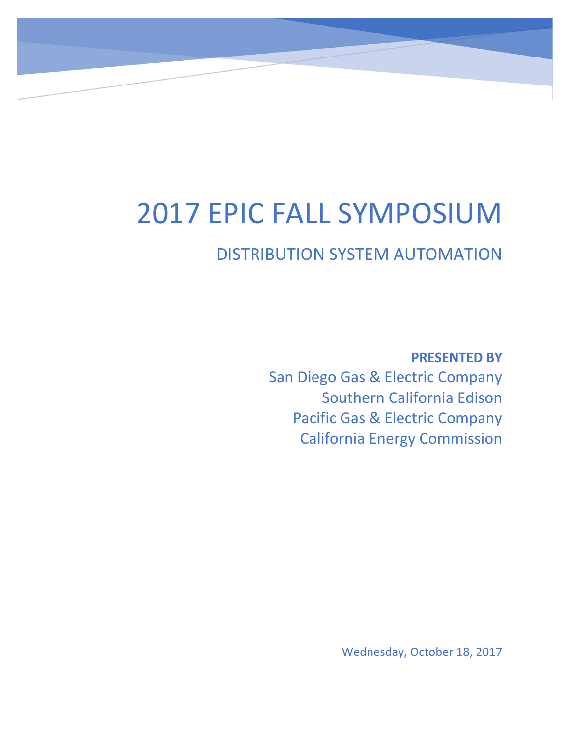## 2017 EPIC FALL SYMPOSIUM

## DISTRIBUTION SYSTEM AUTOMATION

**PRESENTED BY** San Diego Gas & Electric Company Southern California Edison Pacific Gas & Electric Company California Energy Commission

Wednesday, October 18, 2017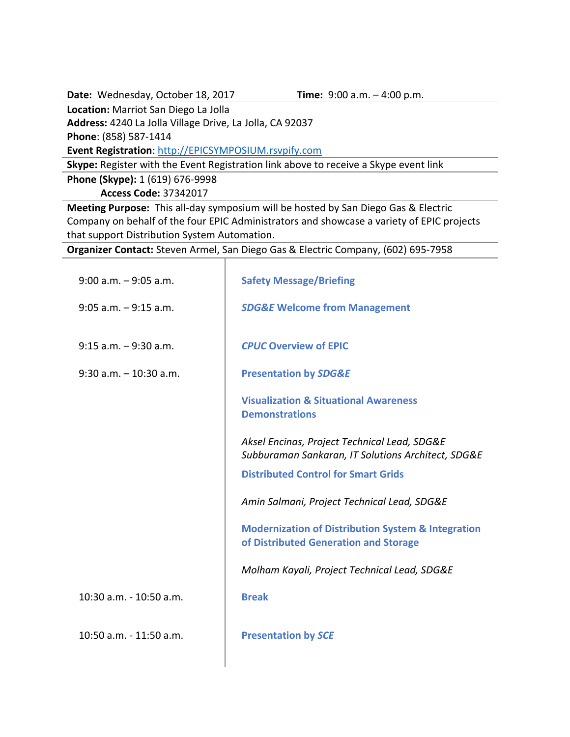**Date:** Wednesday, October 18, 2017 **Time:** 9:00 a.m. – 4:00 p.m.

**Location:** Marriot San Diego La Jolla

**Address:** 4240 La Jolla Village Drive, La Jolla, CA 92037

**Phone**: (858) 587-1414

**Event Registration**: [http://EPICSYMPOSIUM.rsvpify.com](http://epicsymposium.rsvpify.com/)

**Skype:** Register with the Event Registration link above to receive a Skype event link

**Phone (Skype):** 1 (619) 676-9998

**Access Code:** 37342017

**Meeting Purpose:** This all-day symposium will be hosted by San Diego Gas & Electric Company on behalf of the four EPIC Administrators and showcase a variety of EPIC projects that support Distribution System Automation.

**Organizer Contact:** Steven Armel, San Diego Gas & Electric Company, (602) 695-7958

| $9:00$ a.m. $-9:05$ a.m.  | <b>Safety Message/Briefing</b>                                                                         |
|---------------------------|--------------------------------------------------------------------------------------------------------|
| $9:05$ a.m. $-9:15$ a.m.  | <b>SDG&amp;E Welcome from Management</b>                                                               |
| $9:15$ a.m. $-9:30$ a.m.  | <b>CPUC Overview of EPIC</b>                                                                           |
| $9:30$ a.m. $-10:30$ a.m. | <b>Presentation by SDG&amp;E</b>                                                                       |
|                           | <b>Visualization &amp; Situational Awareness</b><br><b>Demonstrations</b>                              |
|                           | Aksel Encinas, Project Technical Lead, SDG&E<br>Subburaman Sankaran, IT Solutions Architect, SDG&E     |
|                           | <b>Distributed Control for Smart Grids</b>                                                             |
|                           | Amin Salmani, Project Technical Lead, SDG&E                                                            |
|                           | <b>Modernization of Distribution System &amp; Integration</b><br>of Distributed Generation and Storage |
|                           | Molham Kayali, Project Technical Lead, SDG&E                                                           |
| 10:30 a.m. - 10:50 a.m.   | <b>Break</b>                                                                                           |
| 10:50 a.m. - 11:50 a.m.   | <b>Presentation by SCE</b>                                                                             |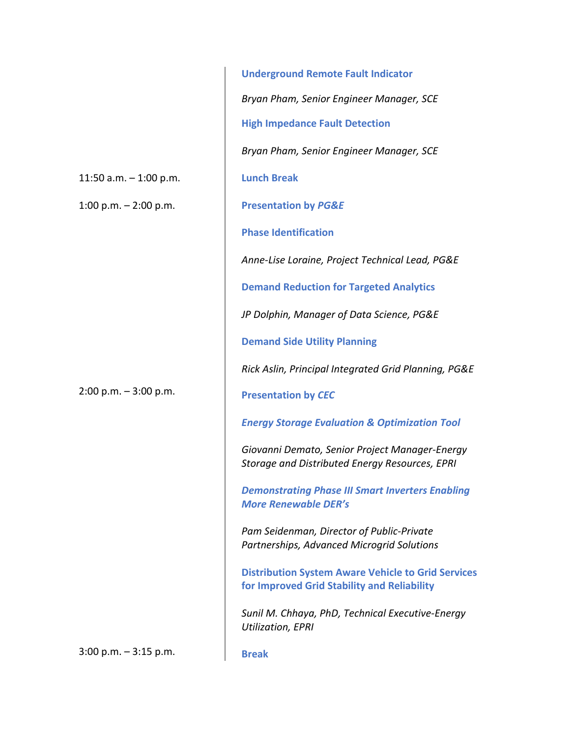11:50 a.m. – 1:00 p.m.

1:00 p.m.  $-$  2:00 p.m.

2:00 p.m. – 3:00 p.m.

**Underground Remote Fault Indicator** *Bryan Pham, Senior Engineer Manager, SCE* **High Impedance Fault Detection** *Bryan Pham, Senior Engineer Manager, SCE* **Lunch Break Presentation by** *PG&E* **Phase Identification**  *Anne-Lise Loraine, Project Technical Lead, PG&E* **Demand Reduction for Targeted Analytics** *JP Dolphin, Manager of Data Science, PG&E* **Demand Side Utility Planning** *Rick Aslin, Principal Integrated Grid Planning, PG&E* **Presentation by** *CEC Energy Storage Evaluation & Optimization Tool Giovanni Demato, Senior Project Manager-Energy Storage and Distributed Energy Resources, EPRI Demonstrating Phase III Smart Inverters Enabling More Renewable DER's Pam Seidenman, Director of Public-Private Partnerships, Advanced Microgrid Solutions* **Distribution System Aware Vehicle to Grid Services for Improved Grid Stability and Reliability** *Sunil M. Chhaya, PhD, Technical Executive-Energy Utilization, EPRI* 

3:00 p.m. – 3:15 p.m.

**Break**